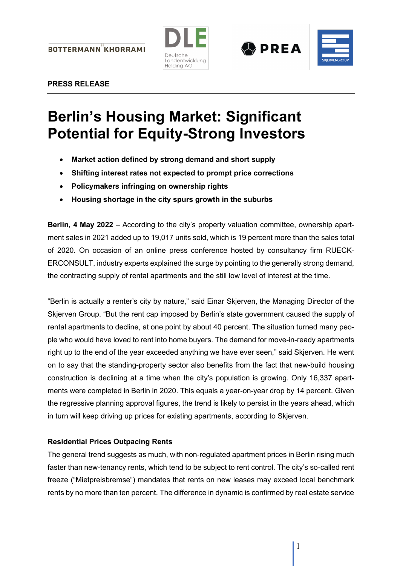





### **PRESS RELEASE**

# **Berlin's Housing Market: Significant Potential for Equity-Strong Investors**

- **Market action defined by strong demand and short supply**
- **Shifting interest rates not expected to prompt price corrections**
- **Policymakers infringing on ownership rights**
- **Housing shortage in the city spurs growth in the suburbs**

**Berlin, 4 May 2022** – According to the city's property valuation committee, ownership apartment sales in 2021 added up to 19,017 units sold, which is 19 percent more than the sales total of 2020. On occasion of an online press conference hosted by consultancy firm RUECK-ERCONSULT, industry experts explained the surge by pointing to the generally strong demand, the contracting supply of rental apartments and the still low level of interest at the time.

"Berlin is actually a renter's city by nature," said Einar Skjerven, the Managing Director of the Skjerven Group. "But the rent cap imposed by Berlin's state government caused the supply of rental apartments to decline, at one point by about 40 percent. The situation turned many people who would have loved to rent into home buyers. The demand for move-in-ready apartments right up to the end of the year exceeded anything we have ever seen," said Skjerven. He went on to say that the standing-property sector also benefits from the fact that new-build housing construction is declining at a time when the city's population is growing. Only 16,337 apartments were completed in Berlin in 2020. This equals a year-on-year drop by 14 percent. Given the regressive planning approval figures, the trend is likely to persist in the years ahead, which in turn will keep driving up prices for existing apartments, according to Skjerven.

## **Residential Prices Outpacing Rents**

The general trend suggests as much, with non-regulated apartment prices in Berlin rising much faster than new-tenancy rents, which tend to be subject to rent control. The city's so-called rent freeze ("Mietpreisbremse") mandates that rents on new leases may exceed local benchmark rents by no more than ten percent. The difference in dynamic is confirmed by real estate service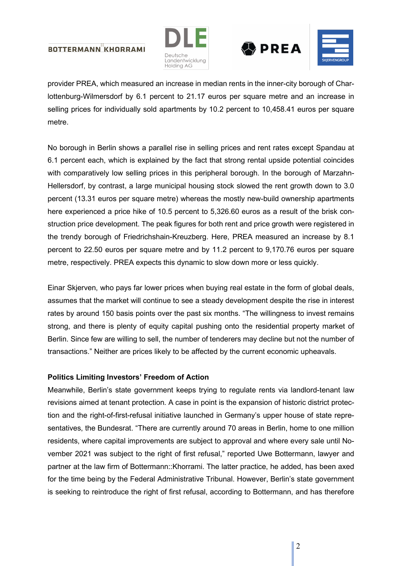





provider PREA, which measured an increase in median rents in the inner-city borough of Charlottenburg-Wilmersdorf by 6.1 percent to 21.17 euros per square metre and an increase in selling prices for individually sold apartments by 10.2 percent to 10,458.41 euros per square metre.

No borough in Berlin shows a parallel rise in selling prices and rent rates except Spandau at 6.1 percent each, which is explained by the fact that strong rental upside potential coincides with comparatively low selling prices in this peripheral borough. In the borough of Marzahn-Hellersdorf, by contrast, a large municipal housing stock slowed the rent growth down to 3.0 percent (13.31 euros per square metre) whereas the mostly new-build ownership apartments here experienced a price hike of 10.5 percent to 5,326.60 euros as a result of the brisk construction price development. The peak figures for both rent and price growth were registered in the trendy borough of Friedrichshain-Kreuzberg. Here, PREA measured an increase by 8.1 percent to 22.50 euros per square metre and by 11.2 percent to 9,170.76 euros per square metre, respectively. PREA expects this dynamic to slow down more or less quickly.

Einar Skjerven, who pays far lower prices when buying real estate in the form of global deals, assumes that the market will continue to see a steady development despite the rise in interest rates by around 150 basis points over the past six months. "The willingness to invest remains strong, and there is plenty of equity capital pushing onto the residential property market of Berlin. Since few are willing to sell, the number of tenderers may decline but not the number of transactions." Neither are prices likely to be affected by the current economic upheavals.

#### **Politics Limiting Investors' Freedom of Action**

Meanwhile, Berlin's state government keeps trying to regulate rents via landlord-tenant law revisions aimed at tenant protection. A case in point is the expansion of historic district protection and the right-of-first-refusal initiative launched in Germany's upper house of state representatives, the Bundesrat. "There are currently around 70 areas in Berlin, home to one million residents, where capital improvements are subject to approval and where every sale until November 2021 was subject to the right of first refusal," reported Uwe Bottermann, lawyer and partner at the law firm of Bottermann::Khorrami. The latter practice, he added, has been axed for the time being by the Federal Administrative Tribunal. However, Berlin's state government is seeking to reintroduce the right of first refusal, according to Bottermann, and has therefore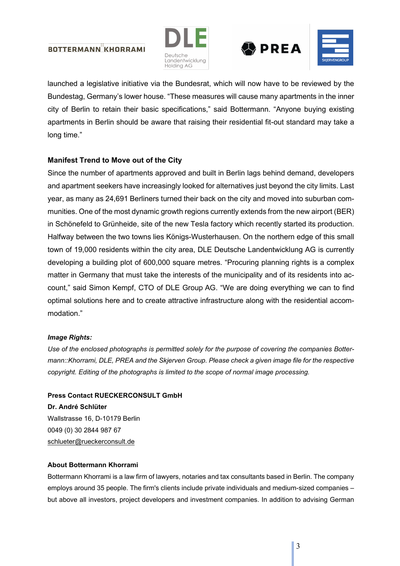





launched a legislative initiative via the Bundesrat, which will now have to be reviewed by the Bundestag, Germany's lower house. "These measures will cause many apartments in the inner city of Berlin to retain their basic specifications," said Bottermann. "Anyone buying existing apartments in Berlin should be aware that raising their residential fit-out standard may take a long time."

#### **Manifest Trend to Move out of the City**

Since the number of apartments approved and built in Berlin lags behind demand, developers and apartment seekers have increasingly looked for alternatives just beyond the city limits. Last year, as many as 24,691 Berliners turned their back on the city and moved into suburban communities. One of the most dynamic growth regions currently extends from the new airport (BER) in Schönefeld to Grünheide, site of the new Tesla factory which recently started its production. Halfway between the two towns lies Königs-Wusterhausen. On the northern edge of this small town of 19,000 residents within the city area, DLE Deutsche Landentwicklung AG is currently developing a building plot of 600,000 square metres. "Procuring planning rights is a complex matter in Germany that must take the interests of the municipality and of its residents into account," said Simon Kempf, CTO of DLE Group AG. "We are doing everything we can to find optimal solutions here and to create attractive infrastructure along with the residential accommodation."

#### *Image Rights:*

*Use of the enclosed photographs is permitted solely for the purpose of covering the companies Bottermann::Khorrami, DLE, PREA and the Skjerven Group. Please check a given image file for the respective copyright. Editing of the photographs is limited to the scope of normal image processing.*

#### **Press Contact RUECKERCONSULT GmbH**

**Dr. André Schlüter** Wallstrasse 16, D-10179 Berlin 0049 (0) 30 2844 987 67 [schlueter@rueckerconsult.de](mailto:schlueter@rueckerconsult.de)

#### **About Bottermann Khorrami**

Bottermann Khorrami is a law firm of lawyers, notaries and tax consultants based in Berlin. The company employs around 35 people. The firm's clients include private individuals and medium-sized companies – but above all investors, project developers and investment companies. In addition to advising German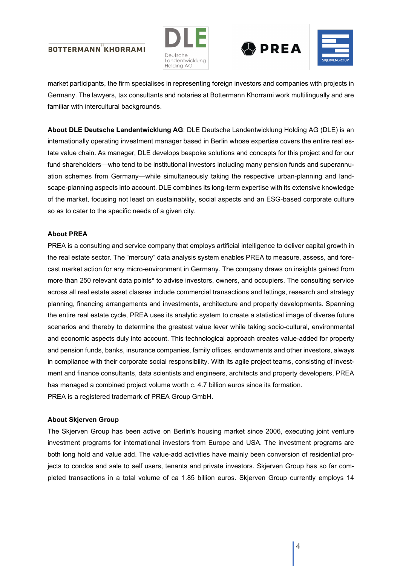





market participants, the firm specialises in representing foreign investors and companies with projects in Germany. The lawyers, tax consultants and notaries at Bottermann Khorrami work multilingually and are familiar with intercultural backgrounds.

**About DLE Deutsche Landentwicklung AG**: DLE Deutsche Landentwicklung Holding AG (DLE) is an internationally operating investment manager based in Berlin whose expertise covers the entire real estate value chain. As manager, DLE develops bespoke solutions and concepts for this project and for our fund shareholders—who tend to be institutional investors including many pension funds and superannuation schemes from Germany—while simultaneously taking the respective urban-planning and landscape-planning aspects into account. DLE combines its long-term expertise with its extensive knowledge of the market, focusing not least on sustainability, social aspects and an ESG-based corporate culture so as to cater to the specific needs of a given city.

#### **About PREA**

PREA is a consulting and service company that employs artificial intelligence to deliver capital growth in the real estate sector. The "mercury" data analysis system enables PREA to measure, assess, and forecast market action for any micro-environment in Germany. The company draws on insights gained from more than 250 relevant data points\* to advise investors, owners, and occupiers. The consulting service across all real estate asset classes include commercial transactions and lettings, research and strategy planning, financing arrangements and investments, architecture and property developments. Spanning the entire real estate cycle, PREA uses its analytic system to create a statistical image of diverse future scenarios and thereby to determine the greatest value lever while taking socio-cultural, environmental and economic aspects duly into account. This technological approach creates value-added for property and pension funds, banks, insurance companies, family offices, endowments and other investors, always in compliance with their corporate social responsibility. With its agile project teams, consisting of investment and finance consultants, data scientists and engineers, architects and property developers, PREA has managed a combined project volume worth c. 4.7 billion euros since its formation. PREA is a registered trademark of PREA Group GmbH.

#### **About Skjerven Group**

The Skjerven Group has been active on Berlin's housing market since 2006, executing joint venture investment programs for international investors from Europe and USA. The investment programs are both long hold and value add. The value-add activities have mainly been conversion of residential projects to condos and sale to self users, tenants and private investors. Skjerven Group has so far completed transactions in a total volume of ca 1.85 billion euros. Skjerven Group currently employs 14